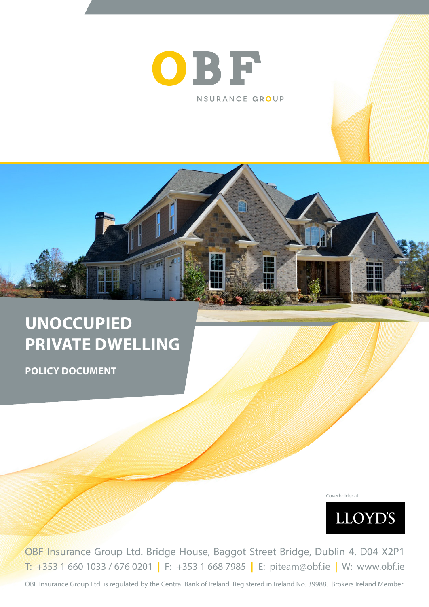

# **UNOCCUPIED PRIVATE DWELLING**

**POLICY DOCUMENT**

Coverholder at



OBF Insurance Group Ltd. Bridge House, Baggot Street Bridge, Dublin 4. D04 X2P1 T: +353 1 660 1033 / 676 0201 **|** F: +353 1 668 7985 **|** E: piteam@obf.ie **|** W: www.obf.ie

OBF Insurance Group Ltd. is regulated by the Central Bank of Ireland. Registered in Ireland No. 39988. Brokers Ireland Member.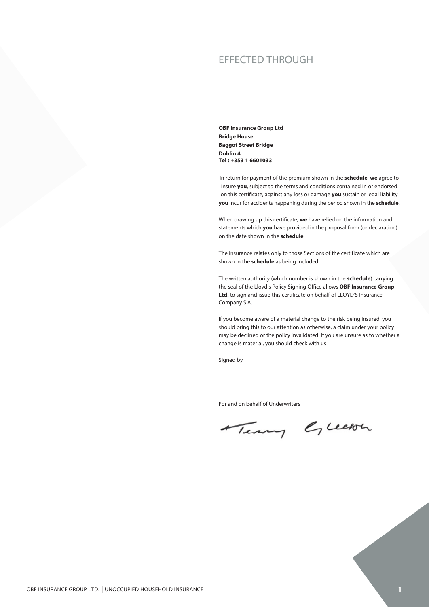### EFFECTED THROUGH

**OBF Insurance Group Ltd Bridge House Baggot Street Bridge Dublin 4 Tel : +353 1 6601033**

In return for payment of the premium shown in the **schedule**, **we** agree to insure **you**, subject to the terms and conditions contained in or endorsed on this certificate, against any loss or damage **you** sustain or legal liability **you** incur for accidents happening during the period shown in the **schedule**.

When drawing up this certificate, **we** have relied on the information and statements which **you** have provided in the proposal form (or declaration) on the date shown in the **schedule**.

The insurance relates only to those Sections of the certificate which are shown in the **schedule** as being included.

The written authority (which number is shown in the **schedule**) carrying the seal of the Lloyd's Policy Signing Office allows **OBF Insurance Group Ltd.** to sign and issue this certificate on behalf of LLOYD'S Insurance Company S.A.

If you become aware of a material change to the risk being insured, you should bring this to our attention as otherwise, a claim under your policy may be declined or the policy invalidated. If you are unsure as to whether a change is material, you should check with us

Signed by

For and on behalf of Underwriters

Terry Green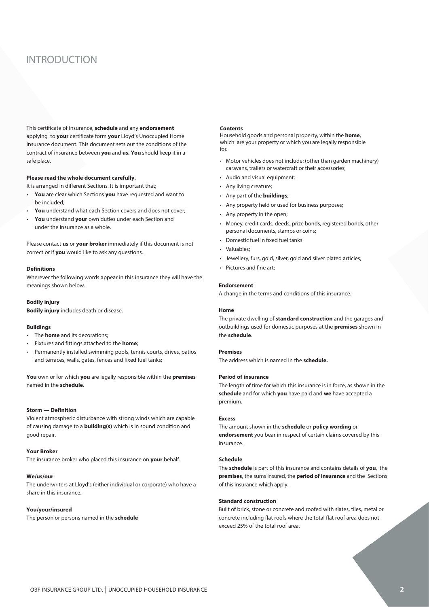## INTRODUCTION

This certificate of insurance, **schedule** and any **endorsement** applying to **your** certificate form **your** Lloyd's Unoccupied Home Insurance document. This document sets out the conditions of the contract of insurance between **you** and **us. You** should keep it in a safe place.

#### **Please read the whole document carefully.**

It is arranged in different Sections. It is important that;

- **You** are clear which Sections **you** have requested and want to be included;
- **You** understand what each Section covers and does not cover;
- **You** understand **your** own duties under each Section and under the insurance as a whole.

Please contact **us** or **your broker** immediately if this document is not correct or if **you** would like to ask any questions.

#### **Definitions**

Wherever the following words appear in this insurance they will have the meanings shown below.

#### **Bodily injury**

**Bodily injury** includes death or disease.

#### **Buildings**

- The **home** and its decorations;
- Fixtures and fittings attached to the **home**;
- Permanently installed swimming pools, tennis courts, drives, patios and terraces, walls, gates, fences and fixed fuel tanks;

**You** own or for which **you** are legally responsible within the **premises** named in the **schedule**.

#### **Storm — Definition**

Violent atmospheric disturbance with strong winds which are capable of causing damage to a **building(s)** which is in sound condition and good repair.

#### **Your Broker**

The insurance broker who placed this insurance on **your** behalf.

#### **We/us/our**

The underwriters at Lloyd's (either individual or corporate) who have a share in this insurance.

#### **You/your/insured**

The person or persons named in the **schedule**

### **Contents Contents**

Household goods and personal property, within the **home**, Household goods and personal property, within the **home**, which are **your** property or which **you** are legally responsible which are your property or which you are legally responsible for. for.

- caravans, trailers or watercraft or their accessories; • Motor vehicles does not include: (other than garden machinery)
- Audio and visual equipment;
- Any living creature;
- Any part of the **buildings**;
- Any property held or used for business purposes;
- Any property in the open;
- Any property in the open; • Money, credit cards, deeds, prize bonds, registered bonds, other<br> **•** Money, credit cards, deeds, prize bonds, registered bonds, other personal documents, stamps or coins; personal documents, stamps or coins;
- Domestic fuel in fixed fuel tanks • Domestic fuel in fixed fuel tanks
- Valuables; • Valuables;
- Jewellery, furs, gold, silver, gold and silver plated articles; • Jewellery, furs, gold, silver, gold and silver plated articles;
- Pictures and fine art; • Pictures and fine art;

#### **Endorsement**

A change in the terms and conditions of this insurance.

#### **Home**

The private dwelling of **standard construction** and the garages and outbuildings used for domestic purposes at the **premises** shown in the **schedule**.

#### **Premises**

The address which is named in the **schedule.**

#### **Period of insurance**

The length of time for which this insurance is in force, as shown in the **schedule** and for which **you** have paid and **we** have accepted a premium.

#### **Excess**

The amount shown in the **schedule** or **policy wording** or **endorsement** you bear in respect of certain claims covered by this insurance.

#### **Schedule**

The **schedule** is part of this insurance and contains details of **you**, the **premises**, the sums insured, the **period of insurance** and the Sections of this insurance which apply.

#### **Standard construction**

Built of brick, stone or concrete and roofed with slates, tiles, metal or concrete including flat roofs where the total flat roof area does not exceed 25% of the total roof area.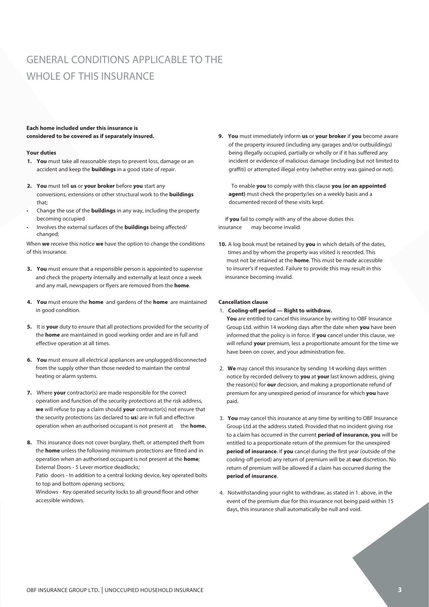## GENERAL CONDITIONS APPLICABLE TO THE WHOLE OF THIS INSURANCE

#### **Each home included under this insurance is considered to be covered as if separately insured.**

#### **Your duties**

- **1. You** must take all reasonable steps to prevent loss, damage or an accident and keep the **buildings** in a good state of repair.
- **2. You** must tell **us** or **your broker** before **you** start any conversions, extensions or other structural work to the **buildings** that;
- Change the use of the **buildings** in any way, including the property becoming occupied
- Involves the external surfaces of the **buildings** being affected/ changed;

When **we** receive this notice **we** have the option to change the conditions of this insurance.

- **3. You** must ensure that a responsible person is appointed to supervise and check the property internally and externally at least once a week and any mail, newspapers or flyers are removed from the **home**.
- **4. You** must ensure the **home** and gardens of the **home** are maintained in good condition.
- **5.** It is **your** duty to ensure that all protections provided for the security of the **home** are maintained in good working order and are in full and effective operation at all times.
- **6. You** must ensure all electrical appliances are unplugged/disconnected from the supply other than those needed to maintain the central heating or alarm systems.
- **7.** Where **your** contractor(s) are made responsible for the correct operation and function of the security protections at the risk address, **we** will refuse to pay a claim should **your** contractor(s) not ensure that the security protections (as declared to **us**) are in full and effective operation when an authorised occupant is not present at the **home.**
- **8.** This insurance does not cover burglary, theft, or attempted theft from the **home** unless the following minimum protections are fitted and in operation when an authorised occupant is not present at the **home**; External Doors - 5 Lever mortice deadlocks;

Patio doors - In addition to a central locking device, key operated bolts to top and bottom opening sections;

Windows - Key operated security locks to all ground floor and other accessible windows.

**9. You** must immediately inform **us** or **your broker** if **you** become aware of the property insured (including any garages and/or outbuildings) being illegally occupied, partially or wholly or if it has suffered any incident or evidence of malicious damage (including but not limited to graffiti) or attempted illegal entry (whether entry was gained or not).

To enable **you** to comply with this clause **you (or an appointed agent)** must check the property/ies on a weekly basis and a documented record of these visits kept.

 If **you** fail to comply with any of the above duties this insurance may become invalid.

**10.** A log book must be retained by **you** in which details of the dates, times and by whom the property was visited is reocrded. This must not be retained at the **home**. This must be made accessible to insurer's if requested. Failure to provide this may result in this insurance becoming invalid.

#### **Cancellation clause**

1. **Cooling-off period — Right to withdraw.**

**You** are entitled to cancel this insurance by writing to OBF Insurance Group Ltd. within 14 working days after the date when **you** have been informed that the policy is in force. If **you** cancel under this clause, we will refund **your** premium, less a proportionate amount for the time we have been on cover, and your administration fee.

- 2. **We** may cancel this insurance by sending 14 working days written notice by recorded delivery to **you** at **your** last known address, giving the reason(s) for **our** decision, and making a proportionate refund of premium for any unexpired period of insurance for which **you** have paid.
- 3. **You** may cancel this insurance at any time by writing to OBF Insurance Group Ltd at the address stated. Provided that no incident giving rise to a claim has occurred in the current **period of insurance, you** will be entitled to a proportionate return of the premium for the unexpired **period of insurance**. If **you** cancel during the first year (outside of the cooling-off period) any return of premium will be at **our** discretion. No return of premium will be allowed if a claim has occurred during the **period of insurance**.
- 4. Notwithstanding your right to withdraw, as stated in 1. above, in the event of the premium due for this insurance not being paid within 15 days, this insurance shall automatically be null and void.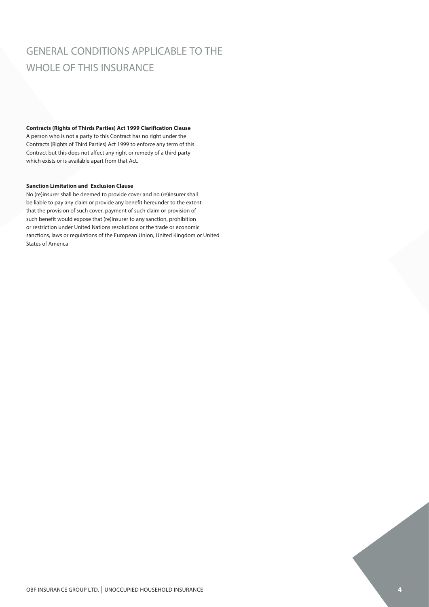## GENERAL CONDITIONS APPLICABLE TO THE WHOLE OF THIS INSURANCE

#### **Contracts (Rights of Thirds Parties) Act 1999 Clarification Clause**

A person who is not a party to this Contract has no right under the Contracts (Rights of Third Parties) Act 1999 to enforce any term of this Contract but this does not affect any right or remedy of a third party which exists or is available apart from that Act.

#### **Sanction Limitation and Exclusion Clause**

No (re)insurer shall be deemed to provide cover and no (re)insurer shall be liable to pay any claim or provide any benefit hereunder to the extent that the provision of such cover, payment of such claim or provision of such benefit would expose that (re)insurer to any sanction, prohibition or restriction under United Nations resolutions or the trade or economic sanctions, laws or regulations of the European Union, United Kingdom or United States of America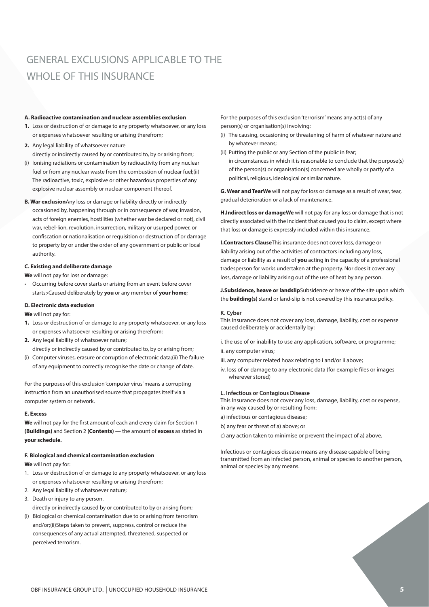## GENERAL EXCLUSIONS APPLICABLE TO THE WHOLE OF THIS INSURANCE

#### **A. Radioactive contamination and nuclear assemblies exclusion**

- **1.** Loss or destruction of or damage to any property whatsoever, or any loss or expenses whatsoever resulting or arising therefrom;
- **2.** Any legal liability of whatsoever nature directly or indirectly caused by or contributed to, by or arising from;
- (i) lonising radiations or contamination by radioactivity from any nuclear The radioactive, toxic, explosive or other hazardous properties of any explosive nuclear assembly or nuclear component thereof. fuel or from any nuclear waste from the combustion of nuclear fuel;(ii)
- occasioned by, happening through or in consequence of war, invasion, occasioned by, happening through or in consequence of war, invasion,<br>acts of foreign enemies, hostilities (whether war be declared or not), civil confiscation or nationalisation or requisition or destruction of or damage to property by or under the order of any government or public or local hauthority. The consequence of war, in consequence of war, in consequence of  $\alpha$ authority.<br>**C. Existing and deliberate damage B. War exclusion**Any loss or damage or liability directly or indirectly war, rebel-lion, revolution, insurrection, military or usurped power, or **We deall lability of whatesever nature**<br>
differenties of controlling pay increases by reconsiderably from any nuclear<br>
different amount of the present solution of the controlling of controlling in controlling to controlli

**We** will not pay for loss or damage:

• Occurring before cover starts or arising from an event before cover starts;•Caused deliberately by **you** or any member of **your home**;

### **D. Electronic data exclusion**

**We** will not pay for:

- 1. Loss or destruction of or damage to any property whatsoever, or any loss<br>**1.** Loss or destruction of or damage to any property whatsoever, or any loss  $\frac{3}{5}$ or expenses whatsoever resulting or arising therefrom;<br> *p*
- directly or indirectly caused by or contributed to, by or arising from; **2.** Any legal liability of whatsoever nature;
- (i) Computer viruses, erasure or corruption of electronic data;(ii) The failure of any equipment to correctly recognise the date or change of date.

instruction from an unauthorised source that propagates itself via a For the purposes of this exclusion 'computer virus' means a corrupting computer system or network.

#### directly or indirectly caused by or contributed to, by or arising from; **E. Excess**

**The sect of computer or** computer and an areaser and every claim for Section 1<br>**We** will not pay for the first amount of each and every claim for Section 1 **(Buildings)** and Section 2 **(Contents)** — the amount of **excess** as stated in your schedule.

### **F. Biological and chemical contamination exclusion**  $\ldots$  **and a correct virusting a**

 $\sim$  with not pay for. **We** will not pay for:

- 1. Loss or destruction of or damage to any property whatsoever, or any loss or expenses whatsoever resulting or arising therefrom;
- **E. Excess** 2. Any legal liability of whatsoever nature;
- 3. Death or injury to any person.
- directly or indirectly caused by or contributed to by or arising from;
- (i) Biological or chemical contamination due to or arising from terrorism and/or;(ii)Steps taken to prevent, suppress, control or reduce the consequences of any actual attempted, threatened, suspected or perceived terrorism.

person(s) or organisation(s) involving:

- (i) The causing, occasioning or threatening of harm of whatever nature and by whatever means; **by whatever** means;
- (ii) Putting the public or any Section of the public in fear;
- of the person(s) or organisation(s) concerned are wholly or partly of a in circumstances in which it is reasonable to conclude that the purpose(s) political, religious, ideological or similar nature.

**G. Wear and TearWe** will not pay for loss or damage as a result of wear, tear, gradual deterioration or a lack of maintenance.

H.Indirect loss or damageWe will not pay for any loss or damage that is not directly associated with the incident that caused you to claim, except where (ii) Steps taken to prevent, suppress, control or reduce the control or reduce the consequences of  $\alpha$ that loss or damage is expressly included within this insurance.

**I.Contractors Clause**This insurance does not cover loss, damage or damage or liability as a result of you acting in the capacity of a professional tradesperson for works undertaken at the property. Nor does it cover any For the purposes of this exclusion 'terrorism' means any act(s) of any<br>person(s) or organisation(s) involving:<br>(i) The causing, occasioning or threatening of harm of whatever nat<br>(ii) Putting the public or any Section of t liability arising out of the activities of contractors including any loss, loss, damage or liability arising out of the use of heat by any person.

 $\mathcal{L}$  The causing, occasioning or threatening or threatening or threatening or threatening or  $\mathcal{L}$ **J.Subsidence, heave or landslip**Subsidence or heave of the site upon which the **building(s)** stand or land-slip is not covered by this insurance policy.

### (ii) Putting the public or any Section of the public in fear; **K. Cyber**

caused deliberately or accidentally by:  $\overline{\phantom{a}}$ This Insurance does not cover any loss, damage, liability, cost or expense

i. the use of or inability to use any application, software, or programme; ii. any computer virus;

- iii. any computer related hoax relating to i and/or ii above;
- iv. loss of or damage to any electronic data (for example files or images wherever stored)

#### **L. Infectious or Contagious Disease**

This Insurance does not cover any loss, damage, liability, cost or expense, in any way caused by or resulting from: и производит при примерени при примерени при примерени при принциплите на примерени при принциплите и при при

- a) infectious or contagious disease;
- b) any fear or threat of a) above; or
- c) any action taken to minimise or prevent the impact of a) above.

Infectious or contagious disease means any disease capable of being transmitted from an infected person, animal or species to another person, animal or species by any means. animal or species by any means.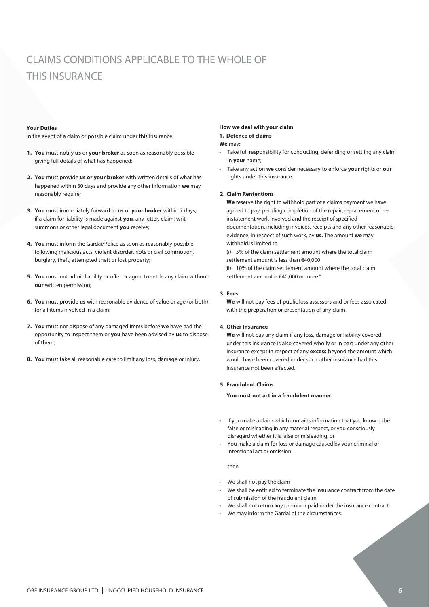## CLAIMS CONDITIONS APPLICABLE TO THE WHOLE OF THIS INSURANCE

#### **Your Duties**

In the event of a claim or possible claim under this insurance:

- **1. You** must notify **us** or **your broker** as soon as reasonably possible giving full details of what has happened;
- **2. You** must provide **us or your broker** with written details of what has happened within 30 days and provide any other information **we** may reasonably require;
- **3. You** must immediately forward to **us** or **your broker** within 7 days, if a claim for liability is made against **you**, any letter, claim, writ, summons or other legal document **you** receive;
- **4. You** must inform the Gardai/Police as soon as reasonably possible following malicious acts, violent disorder, riots or civil commotion, burglary, theft, attempted theft or lost property;
- **5. You** must not admit liability or offer or agree to settle any claim without **our** written permission;
- **6. You** must provide **us** with reasonable evidence of value or age (or both) for all items involved in a claim;
- **7. You** must not dispose of any damaged items before **we** have had the opportunity to inspect them or **you** have been advised by **us** to dispose of them;
- **8. You** must take all reasonable care to limit any loss, damage or injury.

#### **How we deal with your claim**

#### **1. Defence of claims**

#### **We** may:

- Take full responsibility for conducting, defending or settling any claim in **your** name;
- Take any action **we** consider necessary to enforce **your** rights or **our** rights under this insurance.

#### **2. Claim Rententions**

**We** reserve the right to withhold part of a claims payment we have agreed to pay, pending completion of the repair, replacement or reinstatement work involved and the receipt of specified documentation, including invoices, receipts and any other reasonable evidence, in respect of such work, by **us.** The amount **we** may withhold is limited to

(i) 5% of the claim settlement amount where the total claim settlement amount is less than €40,000

(ii) 10% of the claim settlement amount where the total claim settlement amount is €40,000 or more."

#### **3. Fees**

**We** will not pay fees of public loss assessors and or fees assoicated with the preperation or presentation of any claim.

#### **4. Other Insurance**

**We** will not pay any claim if any loss, damage or liability covered under this insurance is also covered wholly or in part under any other insurance except in respect of any **excess** beyond the amount which would have been covered under such other insurance had this insurance not been effected.

#### **5. Fraudulent Claims**

**You must not act in a fraudulent manner.**

- If you make a claim which contains information that you know to be false or misleading in any material respect, or you consciously disregard whether it is false or misleading, or
- You make a claim for loss or damage caused by your criminal or intentional act or omission

then

- We shall not pay the claim
- We shall be entitled to terminate the insurance contract from the date of submission of the fraudulent claim
- We shall not return any premium paid under the insurance contract
- We may inform the Gardai of the circumstances.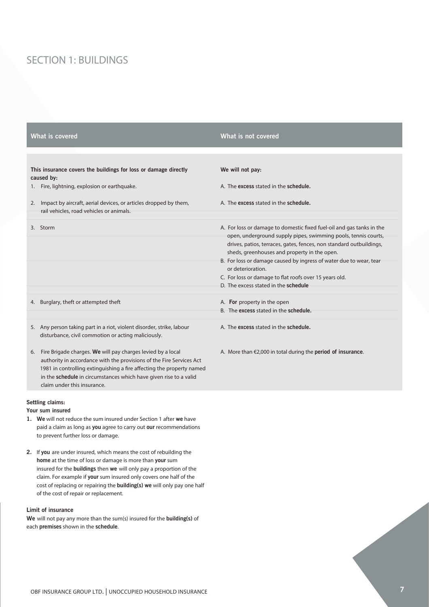## SECTION 1: BUILDINGS

|                                                                               | What is covered                                                                                                                                                                                                                                                                                                  | What is not covered                                                                                                                                                                                                                                                                                                                                       |
|-------------------------------------------------------------------------------|------------------------------------------------------------------------------------------------------------------------------------------------------------------------------------------------------------------------------------------------------------------------------------------------------------------|-----------------------------------------------------------------------------------------------------------------------------------------------------------------------------------------------------------------------------------------------------------------------------------------------------------------------------------------------------------|
|                                                                               |                                                                                                                                                                                                                                                                                                                  |                                                                                                                                                                                                                                                                                                                                                           |
| This insurance covers the buildings for loss or damage directly<br>caused by: |                                                                                                                                                                                                                                                                                                                  | We will not pay:                                                                                                                                                                                                                                                                                                                                          |
|                                                                               | 1. Fire, lightning, explosion or earthquake.                                                                                                                                                                                                                                                                     | A. The excess stated in the schedule.                                                                                                                                                                                                                                                                                                                     |
| 2.                                                                            | Impact by aircraft, aerial devices, or articles dropped by them,<br>rail vehicles, road vehicles or animals.                                                                                                                                                                                                     | A. The excess stated in the schedule.                                                                                                                                                                                                                                                                                                                     |
|                                                                               | 3. Storm                                                                                                                                                                                                                                                                                                         | A. For loss or damage to domestic fixed fuel-oil and gas tanks in the<br>open, underground supply pipes, swimming pools, tennis courts,<br>drives, patios, terraces, gates, fences, non standard outbuildings,<br>sheds, greenhouses and property in the open.<br>B. For loss or damage caused by ingress of water due to wear, tear<br>or deterioration. |
|                                                                               |                                                                                                                                                                                                                                                                                                                  | C. For loss or damage to flat roofs over 15 years old.<br>D. The excess stated in the schedule                                                                                                                                                                                                                                                            |
|                                                                               | 4. Burglary, theft or attempted theft                                                                                                                                                                                                                                                                            | A. For property in the open<br>B. The excess stated in the schedule.                                                                                                                                                                                                                                                                                      |
|                                                                               | 5. Any person taking part in a riot, violent disorder, strike, labour<br>disturbance, civil commotion or acting maliciously.                                                                                                                                                                                     | A. The excess stated in the schedule.                                                                                                                                                                                                                                                                                                                     |
| 6.                                                                            | Fire Brigade charges. We will pay charges levied by a local<br>authority in accordance with the provisions of the Fire Services Act<br>1981 in controlling extinguishing a fire affecting the property named<br>in the schedule in circumstances which have given rise to a valid<br>claim under this insurance. | A. More than $\epsilon$ 2,000 in total during the <b>period of insurance</b> .                                                                                                                                                                                                                                                                            |

#### **Settling claims:**

#### **Your sum insured**

- **1. We** will not reduce the sum insured under Section 1 after **we** have paid a claim as long as **you** agree to carry out **our** recommendations to prevent further loss or damage.
- **2.** If **you** are under insured, which means the cost of rebuilding the **home** at the time of loss or damage is more than **your** sum insured for the **buildings** then **we** will only pay a proportion of the claim. For example if **your** sum insured only covers one half of the cost of replacing or repairing the **building(s) we** will only pay one half of the cost of repair or replacement.

#### **Limit of insurance**

**We** will not pay any more than the sum(s) insured for the **building(s)** of each **premises** shown in the **schedule**.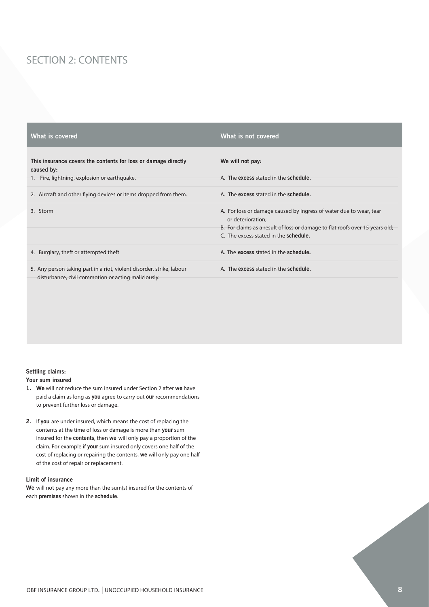## SECTION 2: CONTENTS

| What is covered                                                                                                              | What is not covered                                                                                                                                                                                                      |
|------------------------------------------------------------------------------------------------------------------------------|--------------------------------------------------------------------------------------------------------------------------------------------------------------------------------------------------------------------------|
| This insurance covers the contents for loss or damage directly<br>caused by:<br>1. Fire, lightning, explosion or earthquake. | We will not pay:<br>A. The excess stated in the schedule.                                                                                                                                                                |
| 2. Aircraft and other flying devices or items dropped from them.                                                             | A. The excess stated in the schedule.                                                                                                                                                                                    |
| 3. Storm                                                                                                                     | A. For loss or damage caused by ingress of water due to wear, tear<br>or deterioration;<br>B. For claims as a result of loss or damage to flat roofs over 15 years old;<br>C. The excess stated in the <b>schedule</b> . |
| 4. Burglary, theft or attempted theft                                                                                        | A. The excess stated in the schedule.                                                                                                                                                                                    |
| 5. Any person taking part in a riot, violent disorder, strike, labour<br>disturbance, civil commotion or acting maliciously. | A. The excess stated in the schedule.                                                                                                                                                                                    |

#### **Settling claims:**

#### **Your sum insured**

- **1. We** will not reduce the sum insured under Section 2 after **we** have paid a claim as long as **you** agree to carry out **our** recommendations to prevent further loss or damage.
- **2.** If **you** are under insured, which means the cost of replacing the contents at the time of loss or damage is more than **your** sum insured for the **contents**, then **we** will only pay a proportion of the claim. For example if **your** sum insured only covers one half of the cost of replacing or repairing the contents, **we** will only pay one half of the cost of repair or replacement.

#### **Limit of insurance**

**We** will not pay any more than the sum(s) insured for the contents of each **premises** shown in the **schedule**.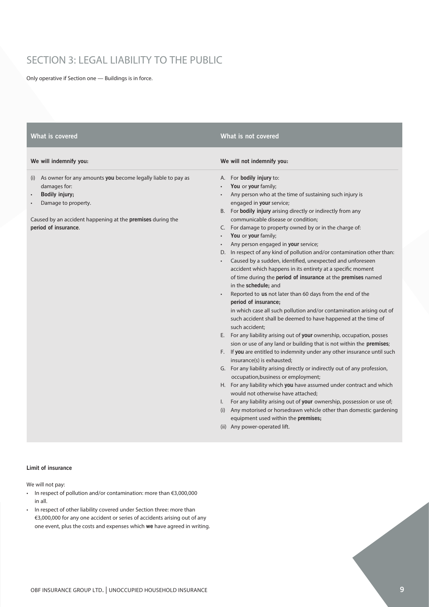## SECTION 3: LEGAL LIABILITY TO THE PUBLIC

Only operative if Section one — Buildings is in force.

| What is covered                                                                                                                                                                                                 | What is not covered                                                                                                                                                                                                                                                                                                                                                                                                                                                                                                                                                                                                                                                                                                                                                                                                                                                                                                                                                                                                                                                                                                                                                                                                                                                                                                                                                                                                                                                                                                                                                                                                                                             |
|-----------------------------------------------------------------------------------------------------------------------------------------------------------------------------------------------------------------|-----------------------------------------------------------------------------------------------------------------------------------------------------------------------------------------------------------------------------------------------------------------------------------------------------------------------------------------------------------------------------------------------------------------------------------------------------------------------------------------------------------------------------------------------------------------------------------------------------------------------------------------------------------------------------------------------------------------------------------------------------------------------------------------------------------------------------------------------------------------------------------------------------------------------------------------------------------------------------------------------------------------------------------------------------------------------------------------------------------------------------------------------------------------------------------------------------------------------------------------------------------------------------------------------------------------------------------------------------------------------------------------------------------------------------------------------------------------------------------------------------------------------------------------------------------------------------------------------------------------------------------------------------------------|
| We will indemnify you:                                                                                                                                                                                          | We will not indemnify you:                                                                                                                                                                                                                                                                                                                                                                                                                                                                                                                                                                                                                                                                                                                                                                                                                                                                                                                                                                                                                                                                                                                                                                                                                                                                                                                                                                                                                                                                                                                                                                                                                                      |
| (i) As owner for any amounts you become legally liable to pay as<br>damages for:<br>Bodily injury;<br>Damage to property.<br>Caused by an accident happening at the premises during the<br>period of insurance. | A. For bodily injury to:<br>You or your family;<br>Any person who at the time of sustaining such injury is<br>engaged in your service;<br>B. For bodily injury arising directly or indirectly from any<br>communicable disease or condition;<br>C. For damage to property owned by or in the charge of:<br>You or your family;<br>Any person engaged in your service;<br>D. In respect of any kind of pollution and/or contamination other than:<br>Caused by a sudden, identified, unexpected and unforeseen<br>accident which happens in its entirety at a specific moment<br>of time during the <b>period of insurance</b> at the <b>premises</b> named<br>in the schedule; and<br>Reported to us not later than 60 days from the end of the<br>period of insurance;<br>in which case all such pollution and/or contamination arising out of<br>such accident shall be deemed to have happened at the time of<br>such accident;<br>E. For any liability arising out of your ownership, occupation, posses<br>sion or use of any land or building that is not within the premises;<br>F. If you are entitled to indemnity under any other insurance until such<br>insurance(s) is exhausted;<br>G. For any liability arising directly or indirectly out of any profession,<br>occupation, business or employment;<br>H. For any liability which you have assumed under contract and which<br>would not otherwise have attached;<br>I. For any liability arising out of your ownership, possession or use of;<br>(i) Any motorised or horsedrawn vehicle other than domestic gardening<br>equipment used within the premises;<br>(ii) Any power-operated lift. |
|                                                                                                                                                                                                                 |                                                                                                                                                                                                                                                                                                                                                                                                                                                                                                                                                                                                                                                                                                                                                                                                                                                                                                                                                                                                                                                                                                                                                                                                                                                                                                                                                                                                                                                                                                                                                                                                                                                                 |

#### **Limit of insurance**

We will not pay:

- In respect of pollution and/or contamination: more than €3,000,000 in all.
- In respect of other liability covered under Section three: more than €3,000,000 for any one accident or series of accidents arising out of any one event, plus the costs and expenses which **we** have agreed in writing.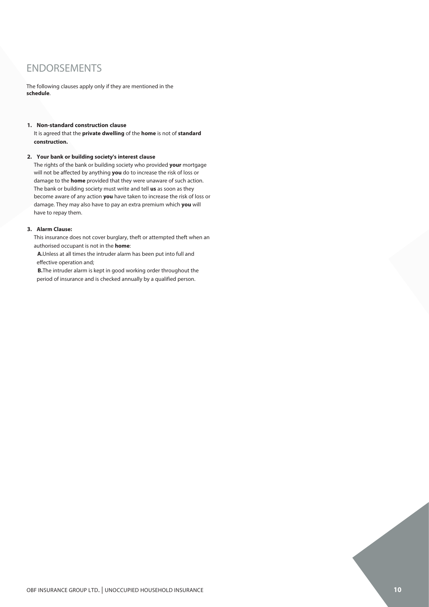## ENDORSEMENTS

The following clauses apply only if they are mentioned in the **schedule**.

#### **1. Non-standard construction clause**

It is agreed that the **private dwelling** of the **home** is not of **standard construction.**

#### **2. Your bank or building society's interest clause**

The rights of the bank or building society who provided **your** mortgage will not be affected by anything **you** do to increase the risk of loss or damage to the **home** provided that they were unaware of such action. The bank or building society must write and tell **us** as soon as they become aware of any action **you** have taken to increase the risk of loss or damage. They may also have to pay an extra premium which **you** will have to repay them.

### **3. Alarm Clause:**

This insurance does not cover burglary, theft or attempted theft when an authorised occupant is not in the **home**:

**A.**Unless at all times the intruder alarm has been put into full and effective operation and;

**B.**The intruder alarm is kept in good working order throughout the period of insurance and is checked annually by a qualified person.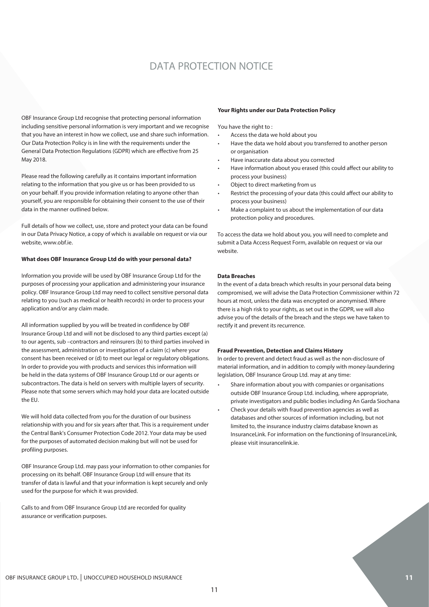## DATA PROTECTION NOTICE

OBF Insurance Group Ltd recognise that protecting personal information including sensitive personal information is very important and we recognise that you have an interest in how we collect, use and share such information. Our Data Protection Policy is in line with the requirements under the General Data Protection Regulations (GDPR) which are effective from 25 May 2018.

Please read the following carefully as it contains important information relating to the information that you give us or has been provided to us on your behalf. If you provide information relating to anyone other than yourself, you are responsible for obtaining their consent to the use of their data in the manner outlined below.

Full details of how we collect, use, store and protect your data can be found in our Data Privacy Notice, a copy of which is available on request or via our website, www.obf.ie.

#### **What does OBF Insurance Group Ltd do with your personal data?**

Information you provide will be used by OBF Insurance Group Ltd for the purposes of processing your application and administering your insurance policy. OBF Insurance Group Ltd may need to collect sensitive personal data relating to you (such as medical or health records) in order to process your application and/or any claim made.

All information supplied by you will be treated in confidence by OBF Insurance Group Ltd and will not be disclosed to any third parties except (a) to our agents, sub –contractors and reinsurers (b) to third parties involved in the assessment, administration or investigation of a claim (c) where your consent has been received or (d) to meet our legal or regulatory obligations. In order to provide you with products and services this information will be held in the data systems of OBF Insurance Group Ltd or our agents or subcontractors. The data is held on servers with multiple layers of security. Please note that some servers which may hold your data are located outside the EU.

We will hold data collected from you for the duration of our business relationship with you and for six years after that. This is a requirement under the Central Bank's Consumer Protection Code 2012. Your data may be used for the purposes of automated decision making but will not be used for profiling purposes.

OBF Insurance Group Ltd. may pass your information to other companies for processing on its behalf. OBF Insurance Group Ltd will ensure that its transfer of data is lawful and that your information is kept securely and only used for the purpose for which it was provided.

Calls to and from OBF Insurance Group Ltd are recorded for quality assurance or verification purposes.

#### **Your Rights under our Data Protection Policy**

You have the right to :

- Access the data we hold about you
- Have the data we hold about you transferred to another person or organisation
- Have inaccurate data about you corrected
- Have information about you erased (this could affect our ability to process your business)
- Object to direct marketing from us
- Restrict the processing of your data (this could affect our ability to process your business)
- Make a complaint to us about the implementation of our data protection policy and procedures.

To access the data we hold about you, you will need to complete and submit a Data Access Request Form, available on request or via our website.

#### **Data Breaches**

In the event of a data breach which results in your personal data being compromised, we will advise the Data Protection Commissioner within 72 hours at most, unless the data was encrypted or anonymised. Where there is a high risk to your rights, as set out in the GDPR, we will also advise you of the details of the breach and the steps we have taken to rectify it and prevent its recurrence.

#### **Fraud Prevention, Detection and Claims History**

In order to prevent and detect fraud as well as the non-disclosure of material information, and in addition to comply with money-laundering legislation, OBF Insurance Group Ltd. may at any time:

- Share information about you with companies or organisations outside OBF Insurance Group Ltd. including, where appropriate, private investigators and public bodies including An Garda Siochana
- Check your details with fraud prevention agencies as well as databases and other sources of information including, but not limited to, the insurance industry claims database known as InsuranceLink. For information on the functioning of InsuranceLink, please visit insurancelink.ie.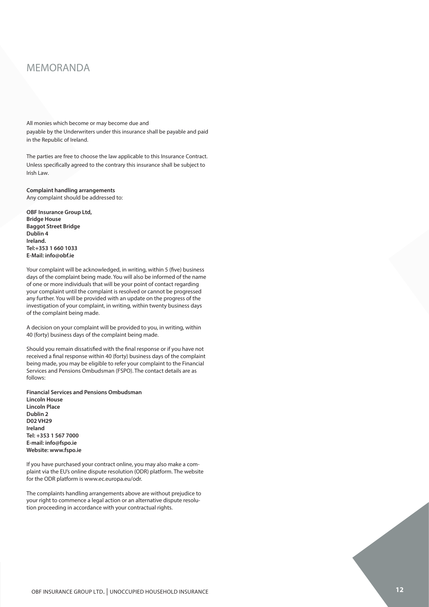### MEMORANDA MEMORANDA

All monies which become or may become due and payable by the Underwriters under this insurance shall be payable and paid payable by the Underwriters under this insurance shall be payable and paid in the Republic of Ireland.

The parties are free to choose the law applicable to this Insurance Contract. Unless specifically agreed to the contrary this insurance shall be subject to Unless specifically agreed to the contrary this insurance shall be subject to Irish Law.

**Complaint handling arrangements Complaint handling arrangements**Any complaint should be addressed to:

OBF Insurance Group Ltd,<br>D. **ideology** The Lloyd's Managing Agent Canopius Managing Agents Limited, or the **Dublin 4** party named above that it has appointed to adjudicate on **your** complaint **Ireland.** on its behalf, will acknowledge **your** complaint, in writing, within five **Tel:+353 1 660 1033** business days of the complaint being made. It will also inform **you** of **E-Mail: info@obf.ie Bridge House Baggot Street Bridge**

the name of one or more individuals that will be **your** point of contact Your complaint will be acknowledged, in writing, within 5 (five) business<br>days of the complaint heige weeds *You will also be informed of the name* progressed any further. of one or more individuals that will be your point of contact regarding any further. You will be provided with an update on the progress of the investigation of your complaint, in writing, within twenty business days of the complaint being made. Der misurance undplant<br>Bridge House<br>Bridge House<br>Techard.<br>Tel:+353 1 660 1033<br>Te-Mail: info@obf.ie<br>Your complaint will be acknowledged, in writing, within 5 (five) business<br>days of the complaint being made. You will also b days of the complaint being made. You will also be informed of the name your complaint until the complaint is resolved or cannot be progressed

the investigation of **your** complaint, in writing, within twenty business A decision on your complaint will be provided to you, in writing, within A decision on your complaint will be provided to you,<br>40 (forty) business days of the complaint being made.

Should you remain dissatisfied with the final response or if you have not received a final response within 40 (forty) business days of the complaint being made, you may be eligible to refer your complaint to the Financial Services and Pensions Ombudsman (FSPO). The contact details are as follows:

Should **you** remain dissatisfied with the final response from the above or if **Financial Services and Pensions Ombudsman** *<u>Eincoln House</u>* complaint being made, **you** may be eligible to refer **your** complaint to the **Lincoln Place** Financial Services Ombudsman (FSO). The contact details are as follows: **Dublin 2** irelandi Services Omborida Services Omborida Services Omborida Services Omborida Services Omborida Services O 3rd Floor, Lincoln House **E-mail: info@fspo.ie** Lincoln Place **Website: www.fspo.ie** 3rd Floor, Lincoln House**Tel: +353 1 567 7000 D02 VH29 Ireland**

If you have purchased your contract online, you may also make a complaint via the EU's online dispute resolution (ODR) platform. The website for the ODR platform is www.ec.europa.eu/odr.

The complaints handling arrangements above are without prejudice to The complaints handling arrangements above are without prejudice to<br>your right to commence a legal action or an alternative dispute resolu-<br>tion proceeding in accordance with your contractual rights.<br>OBF INSURANCE GROUP LT your right to commence a legal action or an alternative dispute resolution proceeding in accordance with your contractual rights.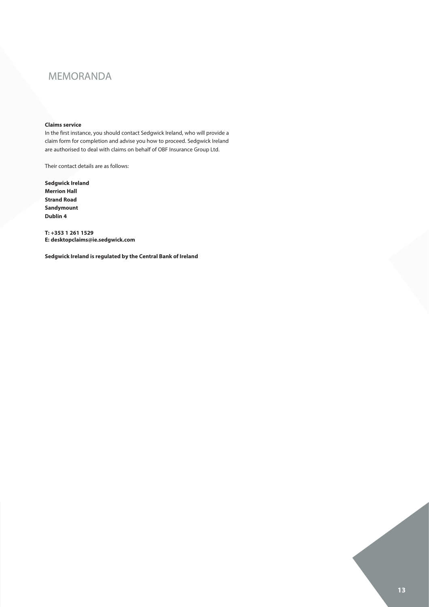## MEMORANDA

#### **Claims service**

In the first instance, you should contact Sedgwick Ireland, who will provide a claim form for completion and advise you how to proceed. Sedgwick Ireland are authorised to deal with claims on behalf of OBF Insurance Group Ltd.

Their contact details are as follows:

**Sedgwick Ireland Merrion Hall Strand Road Sandymount Dublin 4** 

**T: +353 1 261 1529 E: desktopclaims@ie.sedgwick.com**

**Sedgwick Ireland is regulated by the Central Bank of Ireland**